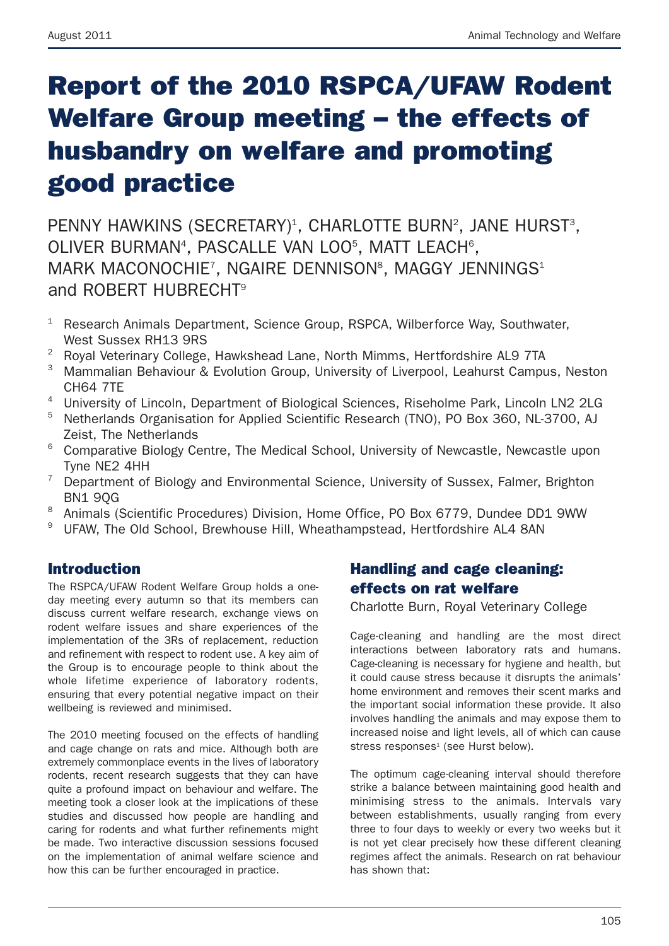# **Report of the 2010 RSPCA/UFAW Rodent Welfare Group meeting – the effects of husbandry on welfare and promoting good practice**

PENNY HAWKINS (SECRETARY)<sup>1</sup>, CHARLOTTE BURN<sup>2</sup>, JANE HURST<sup>3</sup>, OLIVER BURMAN<sup>4</sup>, PASCALLE VAN LOO<sup>5</sup>, MATT LEACH<sup>6</sup>, MARK MACONOCHIE<sup>7</sup>, NGAIRE DENNISON<sup>8</sup>, MAGGY JENNINGS<sup>1</sup> and ROBERT HUBRECHT9

- Research Animals Department, Science Group, RSPCA, Wilberforce Way, Southwater, West Sussex RH13 9RS
- <sup>2</sup> Royal Veterinary College, Hawkshead Lane, North Mimms, Hertfordshire AL9 7TA
- <sup>3</sup> Mammalian Behaviour & Evolution Group, University of Liverpool, Leahurst Campus, Neston CH64 7TE
- <sup>4</sup> University of Lincoln, Department of Biological Sciences, Riseholme Park, Lincoln LN2 2LG
- <sup>5</sup> Netherlands Organisation for Applied Scientific Research (TNO), PO Box 360, NL-3700, AJ Zeist, The Netherlands
- <sup>6</sup> Comparative Biology Centre, The Medical School, University of Newcastle, Newcastle upon Tyne NE2 4HH
- <sup>7</sup> Department of Biology and Environmental Science, University of Sussex, Falmer, Brighton BN1 9QG
- <sup>8</sup> Animals (Scientific Procedures) Division, Home Office, PO Box 6779, Dundee DD1 9WW
- <sup>9</sup> UFAW. The Old School, Brewhouse Hill, Wheathampstead, Hertfordshire AL4 8AN

#### **Introduction**

The RSPCA/UFAW Rodent Welfare Group holds a oneday meeting every autumn so that its members can discuss current welfare research, exchange views on rodent welfare issues and share experiences of the implementation of the 3Rs of replacement, reduction and refinement with respect to rodent use. A key aim of the Group is to encourage people to think about the whole lifetime experience of laboratory rodents, ensuring that every potential negative impact on their wellbeing is reviewed and minimised.

The 2010 meeting focused on the effects of handling and cage change on rats and mice. Although both are extremely commonplace events in the lives of laboratory rodents, recent research suggests that they can have quite a profound impact on behaviour and welfare. The meeting took a closer look at the implications of these studies and discussed how people are handling and caring for rodents and what further refinements might be made. Two interactive discussion sessions focused on the implementation of animal welfare science and how this can be further encouraged in practice.

# **Handling and cage cleaning: effects on rat welfare**

Charlotte Burn, Royal Veterinary College

Cage-cleaning and handling are the most direct interactions between laboratory rats and humans. Cage-cleaning is necessary for hygiene and health, but it could cause stress because it disrupts the animals' home environment and removes their scent marks and the important social information these provide. It also involves handling the animals and may expose them to increased noise and light levels, all of which can cause stress responses<sup>1</sup> (see Hurst below).

The optimum cage-cleaning interval should therefore strike a balance between maintaining good health and minimising stress to the animals. Intervals vary between establishments, usually ranging from every three to four days to weekly or every two weeks but it is not yet clear precisely how these different cleaning regimes affect the animals. Research on rat behaviour has shown that: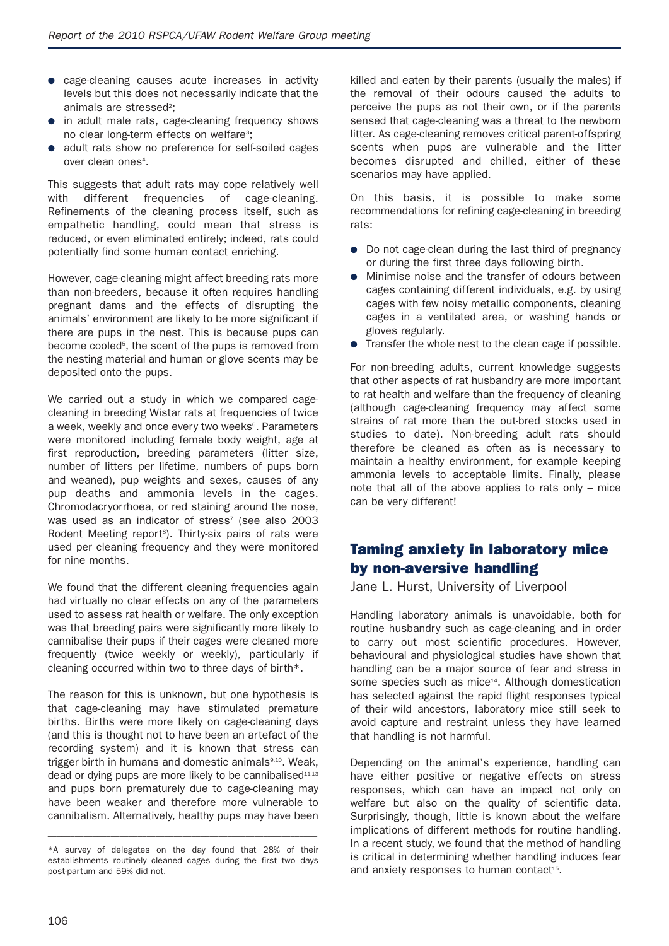- cage-cleaning causes acute increases in activity levels but this does not necessarily indicate that the animals are stressed<sup>2</sup>:
- in adult male rats, cage-cleaning frequency shows no clear long-term effects on welfare<sup>3</sup>:
- adult rats show no preference for self-soiled cages over clean ones<sup>4</sup>.

This suggests that adult rats may cope relatively well with different frequencies of cage-cleaning. Refinements of the cleaning process itself, such as empathetic handling, could mean that stress is reduced, or even eliminated entirely; indeed, rats could potentially find some human contact enriching.

However, cage-cleaning might affect breeding rats more than non-breeders, because it often requires handling pregnant dams and the effects of disrupting the animals' environment are likely to be more significant if there are pups in the nest. This is because pups can become cooled<sup>5</sup>, the scent of the pups is removed from the nesting material and human or glove scents may be deposited onto the pups.

We carried out a study in which we compared cagecleaning in breeding Wistar rats at frequencies of twice a week, weekly and once every two weeks<sup>®</sup>, Parameters were monitored including female body weight, age at first reproduction, breeding parameters (litter size, number of litters per lifetime, numbers of pups born and weaned), pup weights and sexes, causes of any pup deaths and ammonia levels in the cages. Chromodacryorrhoea, or red staining around the nose, was used as an indicator of stress<sup>7</sup> (see also 2003 Rodent Meeting report<sup>8</sup>). Thirty-six pairs of rats were used per cleaning frequency and they were monitored for nine months.

We found that the different cleaning frequencies again had virtually no clear effects on any of the parameters used to assess rat health or welfare. The only exception was that breeding pairs were significantly more likely to cannibalise their pups if their cages were cleaned more frequently (twice weekly or weekly), particularly if cleaning occurred within two to three days of birth\*.

The reason for this is unknown, but one hypothesis is that cage-cleaning may have stimulated premature births. Births were more likely on cage-cleaning days (and this is thought not to have been an artefact of the recording system) and it is known that stress can trigger birth in humans and domestic animals<sup>9,10</sup>, Weak, dead or dying pups are more likely to be cannibalised $11-13$ and pups born prematurely due to cage-cleaning may have been weaker and therefore more vulnerable to cannibalism. Alternatively, healthy pups may have been

––––––––––––––––––––––––––––––––––––––––––––––––––––––––––––

killed and eaten by their parents (usually the males) if the removal of their odours caused the adults to perceive the pups as not their own, or if the parents sensed that cage-cleaning was a threat to the newborn litter. As cage-cleaning removes critical parent-offspring scents when pups are vulnerable and the litter becomes disrupted and chilled, either of these scenarios may have applied.

On this basis, it is possible to make some recommendations for refining cage-cleaning in breeding rats:

- Do not cage-clean during the last third of pregnancy or during the first three days following birth.
- Minimise noise and the transfer of odours between cages containing different individuals, e.g. by using cages with few noisy metallic components, cleaning cages in a ventilated area, or washing hands or gloves regularly.
- Transfer the whole nest to the clean cage if possible.

For non-breeding adults, current knowledge suggests that other aspects of rat husbandry are more important to rat health and welfare than the frequency of cleaning (although cage-cleaning frequency may affect some strains of rat more than the out-bred stocks used in studies to date). Non-breeding adult rats should therefore be cleaned as often as is necessary to maintain a healthy environment, for example keeping ammonia levels to acceptable limits. Finally, please note that all of the above applies to rats only – mice can be very different!

#### **Taming anxiety in laboratory mice by non-aversive handling**

Jane L. Hurst, University of Liverpool

Handling laboratory animals is unavoidable, both for routine husbandry such as cage-cleaning and in order to carry out most scientific procedures. However, behavioural and physiological studies have shown that handling can be a major source of fear and stress in some species such as mice<sup>14</sup>. Although domestication has selected against the rapid flight responses typical of their wild ancestors, laboratory mice still seek to avoid capture and restraint unless they have learned that handling is not harmful.

Depending on the animal's experience, handling can have either positive or negative effects on stress responses, which can have an impact not only on welfare but also on the quality of scientific data. Surprisingly, though, little is known about the welfare implications of different methods for routine handling. In a recent study, we found that the method of handling is critical in determining whether handling induces fear and anxiety responses to human contact<sup>15</sup>.

<sup>\*</sup>A survey of delegates on the day found that 28% of their establishments routinely cleaned cages during the first two days post-partum and 59% did not.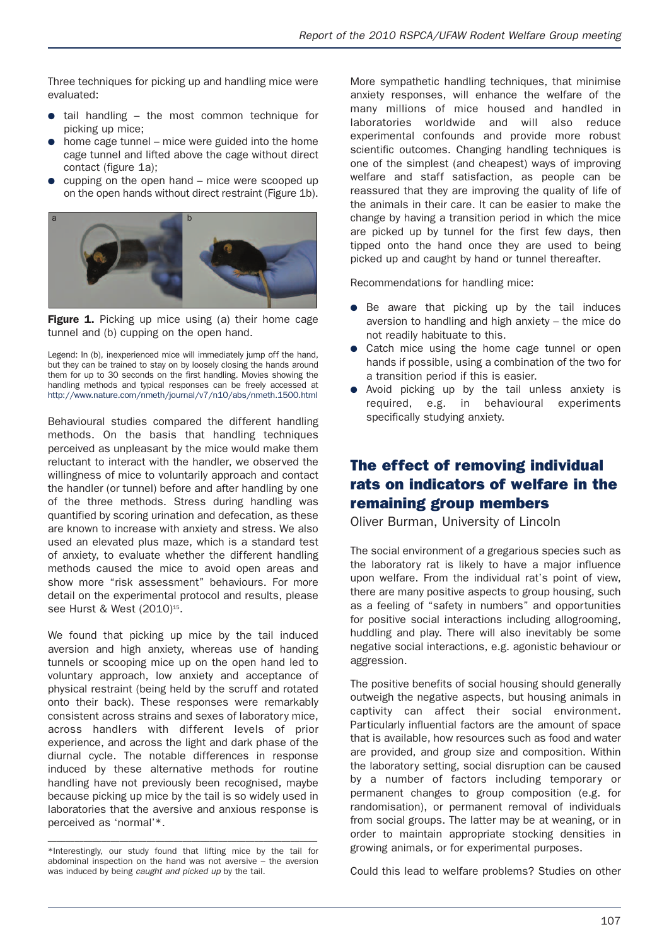Three techniques for picking up and handling mice were evaluated:

- tail handling  $-$  the most common technique for picking up mice;
- home cage tunnel mice were guided into the home cage tunnel and lifted above the cage without direct contact (figure 1a):
- $\bullet$  cupping on the open hand mice were scooped up on the open hands without direct restraint (Figure 1b).



**Figure 1.** Picking up mice using (a) their home cage tunnel and (b) cupping on the open hand.

Legend: In (b), inexperienced mice will immediately jump off the hand, but they can be trained to stay on by loosely closing the hands around them for up to 30 seconds on the first handling. Movies showing the handling methods and typical responses can be freely accessed at http://www.nature.com/nmeth/journal/v7/n10/abs/nmeth.1500.html

Behavioural studies compared the different handling methods. On the basis that handling techniques perceived as unpleasant by the mice would make them reluctant to interact with the handler, we observed the willingness of mice to voluntarily approach and contact the handler (or tunnel) before and after handling by one of the three methods. Stress during handling was quantified by scoring urination and defecation, as these are known to increase with anxiety and stress. We also used an elevated plus maze, which is a standard test of anxiety, to evaluate whether the different handling methods caused the mice to avoid open areas and show more "risk assessment" behaviours. For more detail on the experimental protocol and results, please see Hurst & West (2010)<sup>15</sup>.

We found that picking up mice by the tail induced aversion and high anxiety, whereas use of handing tunnels or scooping mice up on the open hand led to voluntary approach, low anxiety and acceptance of physical restraint (being held by the scruff and rotated onto their back). These responses were remarkably consistent across strains and sexes of laboratory mice, across handlers with different levels of prior experience, and across the light and dark phase of the diurnal cycle. The notable differences in response induced by these alternative methods for routine handling have not previously been recognised, maybe because picking up mice by the tail is so widely used in laboratories that the aversive and anxious response is perceived as 'normal'\*.

More sympathetic handling techniques, that minimise anxiety responses, will enhance the welfare of the many millions of mice housed and handled in laboratories worldwide and will also reduce experimental confounds and provide more robust scientific outcomes. Changing handling techniques is one of the simplest (and cheapest) ways of improving welfare and staff satisfaction, as people can be reassured that they are improving the quality of life of the animals in their care. It can be easier to make the change by having a transition period in which the mice are picked up by tunnel for the first few days, then tipped onto the hand once they are used to being picked up and caught by hand or tunnel thereafter.

Recommendations for handling mice:

- Be aware that picking up by the tail induces aversion to handling and high anxiety – the mice do not readily habituate to this.
- Catch mice using the home cage tunnel or open hands if possible, using a combination of the two for a transition period if this is easier.
- Avoid picking up by the tail unless anxiety is required, e.g. in behavioural experiments specifically studying anxiety.

## **The effect of removing individual rats on indicators of welfare in the remaining group members**

Oliver Burman, University of Lincoln

The social environment of a gregarious species such as the laboratory rat is likely to have a major influence upon welfare. From the individual rat's point of view, there are many positive aspects to group housing, such as a feeling of "safety in numbers" and opportunities for positive social interactions including allogrooming, huddling and play. There will also inevitably be some negative social interactions, e.g. agonistic behaviour or aggression.

The positive benefits of social housing should generally outweigh the negative aspects, but housing animals in captivity can affect their social environment. Particularly influential factors are the amount of space that is available, how resources such as food and water are provided, and group size and composition. Within the laboratory setting, social disruption can be caused by a number of factors including temporary or permanent changes to group composition (e.g. for randomisation), or permanent removal of individuals from social groups. The latter may be at weaning, or in order to maintain appropriate stocking densities in growing animals, or for experimental purposes.

Could this lead to welfare problems? Studies on other

<sup>––––––––––––––––––––––––––––––––––––––––––––––––––––––––––––</sup> \*Interestingly, our study found that lifting mice by the tail for abdominal inspection on the hand was not aversive – the aversion was induced by being *caught and picked up* by the tail.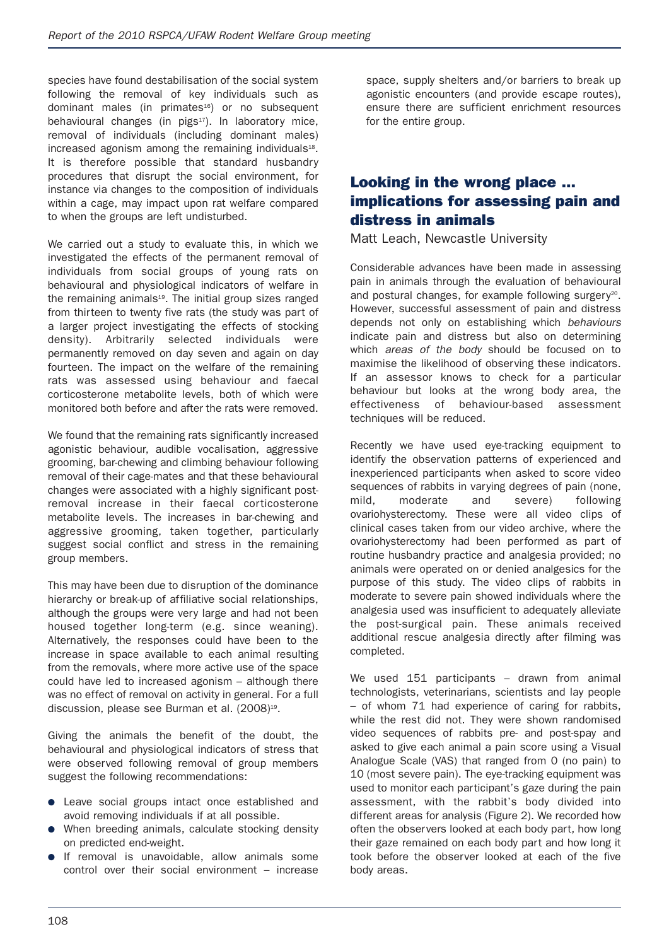species have found destabilisation of the social system following the removal of key individuals such as dominant males (in primates<sup>16</sup>) or no subsequent behavioural changes (in pigs<sup>17</sup>). In laboratory mice, removal of individuals (including dominant males)  $i$ ncreased agonism among the remaining individuals $18$ . It is therefore possible that standard husbandry procedures that disrupt the social environment, for instance via changes to the composition of individuals within a cage, may impact upon rat welfare compared to when the groups are left undisturbed.

We carried out a study to evaluate this, in which we investigated the effects of the permanent removal of individuals from social groups of young rats on behavioural and physiological indicators of welfare in the remaining animals<sup>19</sup>. The initial group sizes ranged from thirteen to twenty five rats (the study was part of a larger project investigating the effects of stocking density). Arbitrarily selected individuals were permanently removed on day seven and again on day fourteen. The impact on the welfare of the remaining rats was assessed using behaviour and faecal corticosterone metabolite levels, both of which were monitored both before and after the rats were removed.

We found that the remaining rats significantly increased agonistic behaviour, audible vocalisation, aggressive grooming, bar-chewing and climbing behaviour following removal of their cage-mates and that these behavioural changes were associated with a highly significant postremoval increase in their faecal corticosterone metabolite levels. The increases in bar-chewing and aggressive grooming, taken together, particularly suggest social conflict and stress in the remaining group members.

This may have been due to disruption of the dominance hierarchy or break-up of affiliative social relationships, although the groups were very large and had not been housed together long-term (e.g. since weaning). Alternatively, the responses could have been to the increase in space available to each animal resulting from the removals, where more active use of the space could have led to increased agonism – although there was no effect of removal on activity in general. For a full discussion, please see Burman et al. (2008) 19 .

Giving the animals the benefit of the doubt, the behavioural and physiological indicators of stress that were observed following removal of group members suggest the following recommendations:

- Leave social groups intact once established and avoid removing individuals if at all possible.
- When breeding animals, calculate stocking density on predicted end-weight.
- If removal is unavoidable, allow animals some control over their social environment – increase

space, supply shelters and/or barriers to break up agonistic encounters (and provide escape routes), ensure there are sufficient enrichment resources for the entire group.

#### **Looking in the wrong place ... implications for assessing pain and distress in animals**

Matt Leach, Newcastle University

Considerable advances have been made in assessing pain in animals through the evaluation of behavioural and postural changes, for example following surgery<sup>20</sup>. However, successful assessment of pain and distress depends not only on establishing which *behaviours* indicate pain and distress but also on determining which *areas of the body* should be focused on to maximise the likelihood of observing these indicators. If an assessor knows to check for a particular behaviour but looks at the wrong body area, the effectiveness of behaviour-based assessment techniques will be reduced.

Recently we have used eye-tracking equipment to identify the observation patterns of experienced and inexperienced participants when asked to score video sequences of rabbits in varying degrees of pain (none, mild, moderate and severe) following ovariohysterectomy. These were all video clips of clinical cases taken from our video archive, where the ovariohysterectomy had been performed as part of routine husbandry practice and analgesia provided; no animals were operated on or denied analgesics for the purpose of this study. The video clips of rabbits in moderate to severe pain showed individuals where the analgesia used was insufficient to adequately alleviate the post-surgical pain. These animals received additional rescue analgesia directly after filming was completed.

We used 151 participants - drawn from animal technologists, veterinarians, scientists and lay people – of whom 71 had experience of caring for rabbits, while the rest did not. They were shown randomised video sequences of rabbits pre- and post-spay and asked to give each animal a pain score using a Visual Analogue Scale (VAS) that ranged from 0 (no pain) to 10 (most severe pain). The eye-tracking equipment was used to monitor each participant's gaze during the pain assessment, with the rabbit's body divided into different areas for analysis (Figure 2). We recorded how often the observers looked at each body part, how long their gaze remained on each body part and how long it took before the observer looked at each of the five body areas.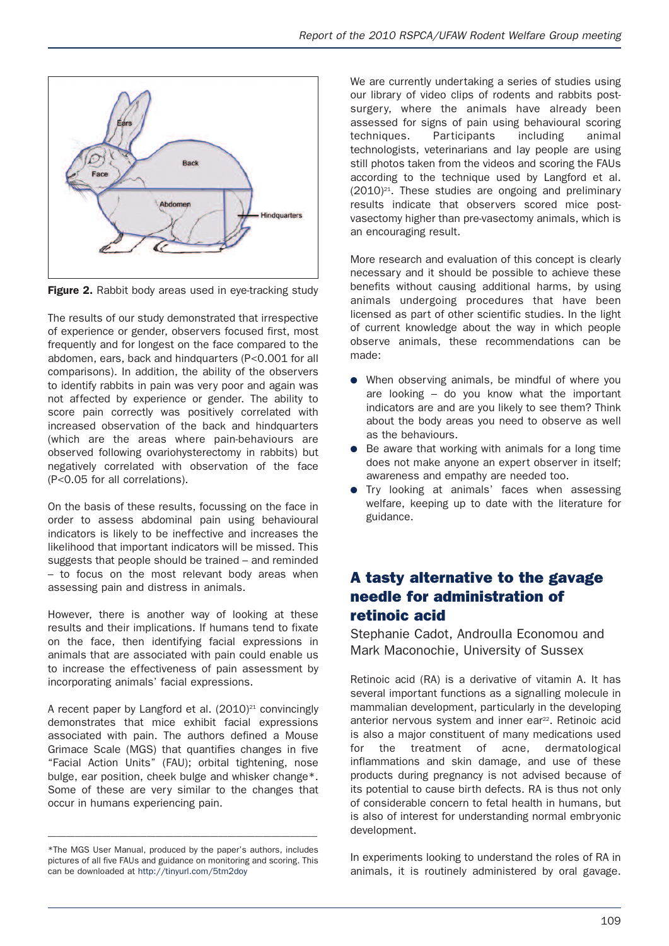

**Figure 2.** Rabbit body areas used in eve-tracking study

The results of our study demonstrated that irrespective of experience or gender, observers focused first, most frequently and for longest on the face compared to the abdomen, ears, back and hindquarters (P<0.001 for all comparisons). In addition, the ability of the observers to identify rabbits in pain was very poor and again was not affected by experience or gender. The ability to score pain correctly was positively correlated with increased observation of the back and hindquarters (which are the areas where pain-behaviours are observed following ovariohysterectomy in rabbits) but negatively correlated with observation of the face (P<0.05 for all correlations).

On the basis of these results, focussing on the face in order to assess abdominal pain using behavioural indicators is likely to be ineffective and increases the likelihood that important indicators will be missed. This suggests that people should be trained – and reminded – to focus on the most relevant body areas when assessing pain and distress in animals.

However, there is another way of looking at these results and their implications. If humans tend to fixate on the face, then identifying facial expressions in animals that are associated with pain could enable us to increase the effectiveness of pain assessment by incorporating animals' facial expressions.

A recent paper by Langford et al. (2010)<sup>21</sup> convincingly demonstrates that mice exhibit facial expressions associated with pain. The authors defined a Mouse Grimace Scale (MGS) that quantifies changes in five "Facial Action Units" (FAU); orbital tightening, nose bulge, ear position, cheek bulge and whisker change\*. Some of these are very similar to the changes that occur in humans experiencing pain.

––––––––––––––––––––––––––––––––––––––––––––––––––––––––––––

We are currently undertaking a series of studies using our library of video clips of rodents and rabbits postsurgery, where the animals have already been assessed for signs of pain using behavioural scoring techniques. Participants including animal technologists, veterinarians and lay people are using still photos taken from the videos and scoring the FAUs according to the technique used by Langford et al. (2010) 21 . These studies are ongoing and preliminary results indicate that observers scored mice postvasectomy higher than pre-vasectomy animals, which is an encouraging result.

More research and evaluation of this concept is clearly necessary and it should be possible to achieve these benefits without causing additional harms, by using animals undergoing procedures that have been licensed as part of other scientific studies. In the light of current knowledge about the way in which people observe animals, these recommendations can be made:

- When observing animals, be mindful of where you are looking – do you know what the important indicators are and are you likely to see them? Think about the body areas you need to observe as well as the behaviours.
- Be aware that working with animals for a long time does not make anyone an expert observer in itself; awareness and empathy are needed too.
- **•** Try looking at animals' faces when assessing welfare, keeping up to date with the literature for guidance.

## **A tasty alternative to the gavage needle for administration of retinoic acid**

Stephanie Cadot, Androulla Economou and Mark Maconochie, University of Sussex

Retinoic acid (RA) is a derivative of vitamin A. It has several important functions as a signalling molecule in mammalian development, particularly in the developing anterior nervous system and inner ear<sup>22</sup>. Retinoic acid is also a major constituent of many medications used for the treatment of acne, dermatological inflammations and skin damage, and use of these products during pregnancy is not advised because of its potential to cause birth defects. RA is thus not only of considerable concern to fetal health in humans, but is also of interest for understanding normal embryonic development.

In experiments looking to understand the roles of RA in animals, it is routinely administered by oral gavage.

<sup>\*</sup>The MGS User Manual, produced by the paper's authors, includes pictures of all five FAUs and guidance on monitoring and scoring. This can be downloaded at http://tinyurl.com/5tm2doy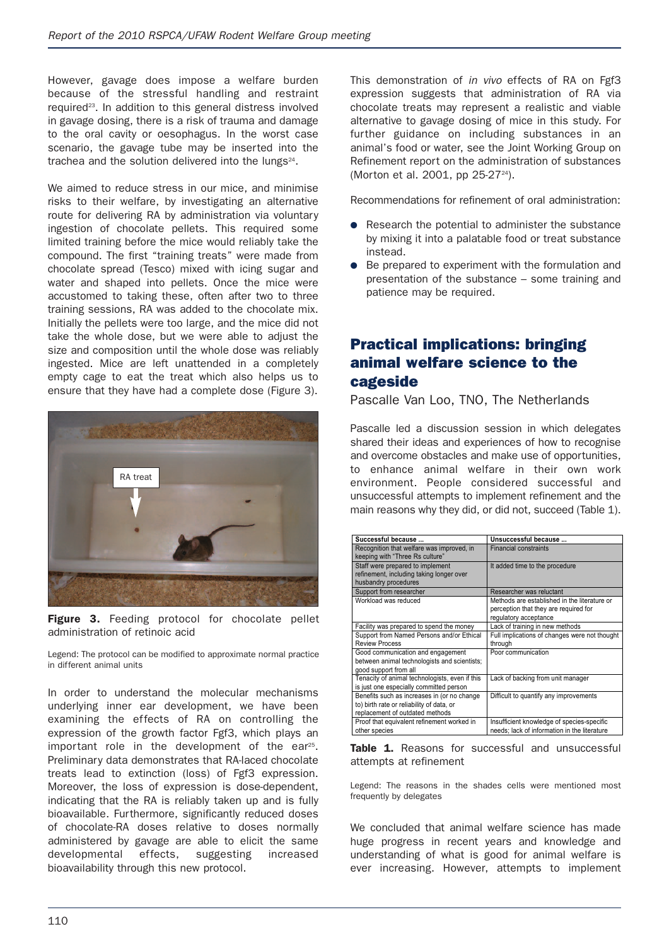However, gavage does impose a welfare burden because of the stressful handling and restraint required<sup>23</sup>. In addition to this general distress involved in gavage dosing, there is a risk of trauma and damage to the oral cavity or oesophagus. In the worst case scenario, the gavage tube may be inserted into the trachea and the solution delivered into the lungs<sup>24</sup>.

We aimed to reduce stress in our mice, and minimise risks to their welfare, by investigating an alternative route for delivering RA by administration via voluntary ingestion of chocolate pellets. This required some limited training before the mice would reliably take the compound. The first "training treats" were made from chocolate spread (Tesco) mixed with icing sugar and water and shaped into pellets. Once the mice were accustomed to taking these, often after two to three training sessions, RA was added to the chocolate mix. Initially the pellets were too large, and the mice did not take the whole dose, but we were able to adjust the size and composition until the whole dose was reliably ingested. Mice are left unattended in a completely empty cage to eat the treat which also helps us to ensure that they have had a complete dose (Figure 3).



**Figure 3.** Feeding protocol for chocolate pellet administration of retinoic acid

Legend: The protocol can be modified to approximate normal practice in different animal units

In order to understand the molecular mechanisms underlying inner ear development, we have been examining the effects of RA on controlling the expression of the growth factor Fgf3, which plays an important role in the development of the ear<sup>25</sup>. Preliminary data demonstrates that RA-laced chocolate treats lead to extinction (loss) of Fgf3 expression. Moreover, the loss of expression is dose-dependent, indicating that the RA is reliably taken up and is fully bioavailable. Furthermore, significantly reduced doses of chocolate-RA doses relative to doses normally administered by gavage are able to elicit the same developmental effects, suggesting increased bioavailability through this new protocol.

This demonstration of *in vivo* effects of RA on Fgf3 expression suggests that administration of RA via chocolate treats may represent a realistic and viable alternative to gavage dosing of mice in this study. For further guidance on including substances in an animal's food or water, see the Joint Working Group on Refinement report on the administration of substances (Morton et al. 2001, pp 25-27<sup>24</sup>).

Recommendations for refinement of oral administration:

- Research the potential to administer the substance by mixing it into a palatable food or treat substance instead.
- Be prepared to experiment with the formulation and presentation of the substance – some training and patience may be required.

## **Practical implications: bringing animal welfare science to the cageside**

Pascalle Van Loo, TNO, The Netherlands

Pascalle led a discussion session in which delegates shared their ideas and experiences of how to recognise and overcome obstacles and make use of opportunities, to enhance animal welfare in their own work environment. People considered successful and unsuccessful attempts to implement refinement and the main reasons why they did, or did not, succeed (Table 1).

| Successful because                             | Unsuccessful because                          |
|------------------------------------------------|-----------------------------------------------|
| Recognition that welfare was improved, in      | <b>Financial constraints</b>                  |
| keeping with "Three Rs culture"                |                                               |
| Staff were prepared to implement               | It added time to the procedure                |
| refinement, including taking longer over       |                                               |
| husbandry procedures                           |                                               |
| Support from researcher                        | Researcher was reluctant                      |
| Workload was reduced                           | Methods are established in the literature or  |
|                                                | perception that they are required for         |
|                                                | regulatory acceptance                         |
| Facility was prepared to spend the money       | Lack of training in new methods               |
| Support from Named Persons and/or Ethical      | Full implications of changes were not thought |
| <b>Review Process</b>                          | through                                       |
| Good communication and engagement              | Poor communication                            |
| between animal technologists and scientists;   |                                               |
| good support from all                          |                                               |
| Tenacity of animal technologists, even if this | Lack of backing from unit manager             |
| is just one especially committed person        |                                               |
| Benefits such as increases in (or no change    | Difficult to quantify any improvements        |
| to) birth rate or reliability of data, or      |                                               |
| replacement of outdated methods                |                                               |
| Proof that equivalent refinement worked in     | Insufficient knowledge of species-specific    |
| other species                                  | needs; lack of information in the literature  |

**Table 1.** Reasons for successful and unsuccessful attempts at refinement

Legend: The reasons in the shades cells were mentioned most frequently by delegates

We concluded that animal welfare science has made huge progress in recent years and knowledge and understanding of what is good for animal welfare is ever increasing. However, attempts to implement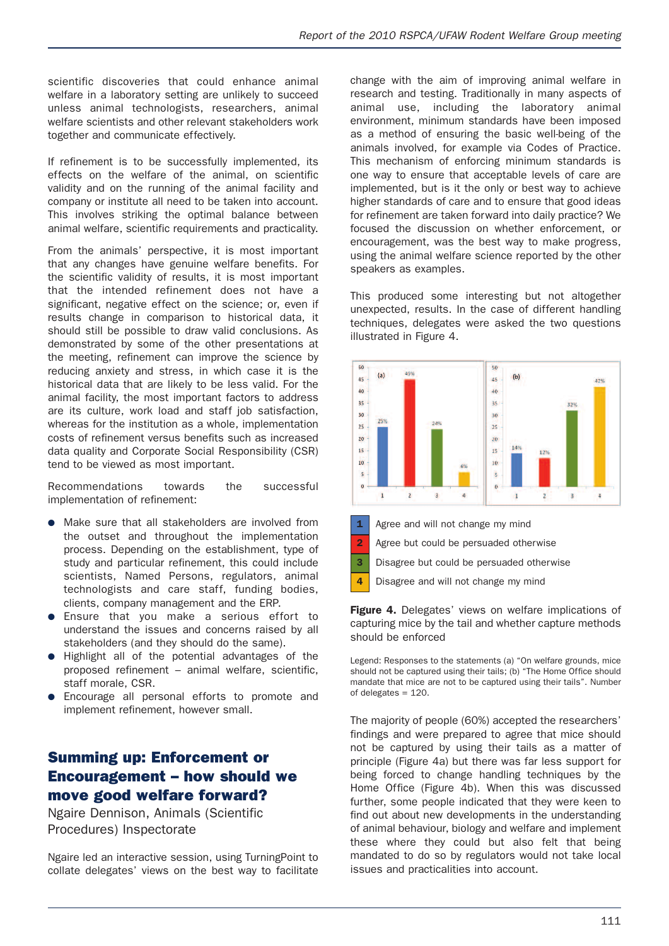scientific discoveries that could enhance animal welfare in a laboratory setting are unlikely to succeed unless animal technologists, researchers, animal welfare scientists and other relevant stakeholders work together and communicate effectively.

If refinement is to be successfully implemented, its effects on the welfare of the animal, on scientific validity and on the running of the animal facility and company or institute all need to be taken into account. This involves striking the optimal balance between animal welfare, scientific requirements and practicality.

From the animals' perspective, it is most important that any changes have genuine welfare benefits. For the scientific validity of results, it is most important that the intended refinement does not have a significant, negative effect on the science; or, even if results change in comparison to historical data, it should still be possible to draw valid conclusions. As demonstrated by some of the other presentations at the meeting, refinement can improve the science by reducing anxiety and stress, in which case it is the historical data that are likely to be less valid. For the animal facility, the most important factors to address are its culture, work load and staff job satisfaction, whereas for the institution as a whole, implementation costs of refinement versus benefits such as increased data quality and Corporate Social Responsibility (CSR) tend to be viewed as most important.

Recommendations towards the successful implementation of refinement:

- Make sure that all stakeholders are involved from the outset and throughout the implementation process. Depending on the establishment, type of study and particular refinement, this could include scientists, Named Persons, regulators, animal technologists and care staff, funding bodies, clients, company management and the ERP.
- Ensure that you make a serious effort to understand the issues and concerns raised by all stakeholders (and they should do the same).
- Highlight all of the potential advantages of the proposed refinement – animal welfare, scientific, staff morale, CSR.
- Encourage all personal efforts to promote and implement refinement, however small.

#### **Summing up: Enforcement or Encouragement – how should we move good welfare forward?**

Ngaire Dennison, Animals (Scientific Procedures) Inspectorate

Ngaire led an interactive session, using TurningPoint to collate delegates' views on the best way to facilitate change with the aim of improving animal welfare in research and testing. Traditionally in many aspects of animal use, including the laboratory animal environment, minimum standards have been imposed as a method of ensuring the basic well-being of the animals involved, for example via Codes of Practice. This mechanism of enforcing minimum standards is one way to ensure that acceptable levels of care are implemented, but is it the only or best way to achieve higher standards of care and to ensure that good ideas for refinement are taken forward into daily practice? We focused the discussion on whether enforcement, or encouragement, was the best way to make progress, using the animal welfare science reported by the other speakers as examples.

This produced some interesting but not altogether unexpected, results. In the case of different handling techniques, delegates were asked the two questions illustrated in Figure 4.



**Figure 4.** Delegates' views on welfare implications of capturing mice by the tail and whether capture methods should be enforced

Legend: Responses to the statements (a) "On welfare grounds, mice should not be captured using their tails; (b) "The Home Office should mandate that mice are not to be captured using their tails". Number of delegates = 120.

The majority of people (60%) accepted the researchers' findings and were prepared to agree that mice should not be captured by using their tails as a matter of principle (Figure 4a) but there was far less support for being forced to change handling techniques by the Home Office (Figure 4b). When this was discussed further, some people indicated that they were keen to find out about new developments in the understanding of animal behaviour, biology and welfare and implement these where they could but also felt that being mandated to do so by regulators would not take local issues and practicalities into account.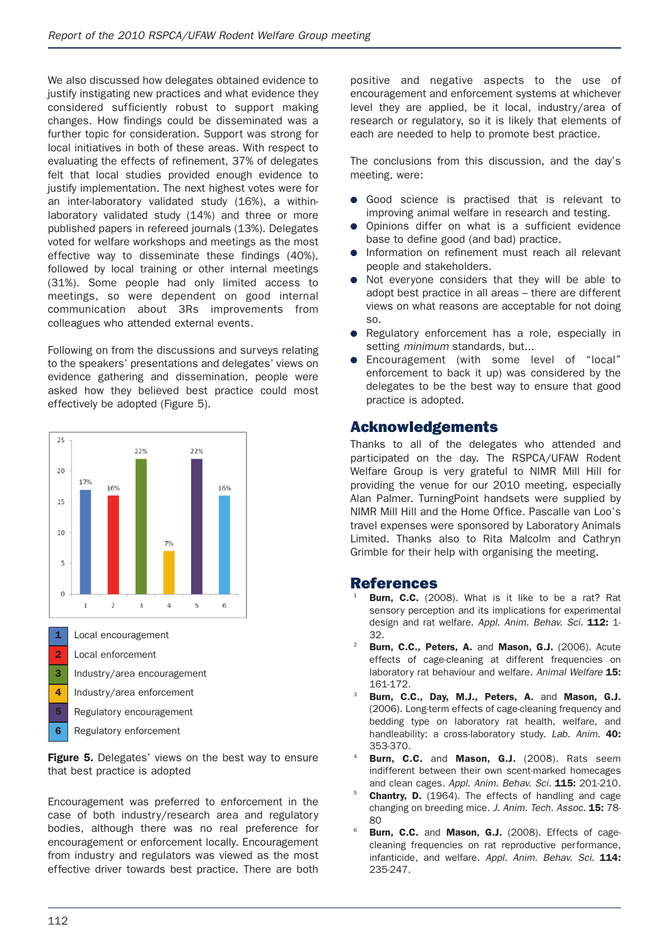We also discussed how delegates obtained evidence to justify instigating new practices and what evidence they considered sufficiently robust to support making changes. How findings could be disseminated was a further topic for consideration. Support was strong for local initiatives in both of these areas. With respect to evaluating the effects of refinement, 37% of delegates felt that local studies provided enough evidence to justify implementation. The next highest votes were for an inter-laboratory validated study (16%), a withinlaboratory validated study (14%) and three or more published papers in refereed journals (13%). Delegates voted for welfare workshops and meetings as the most effective way to disseminate these findings (40%), followed by local training or other internal meetings (31%). Some people had only limited access to meetings, so were dependent on good internal communication about 3Rs improvements from colleagues who attended external events.

Following on from the discussions and surveys relating to the speakers' presentations and delegates' views on evidence gathering and dissemination, people were asked how they believed best practice could most effectively be adopted (Figure 5).



- **1** Local encouragement
- **2** Local enforcement
- **3** Industry/area encouragement
- **4** Industry/area enforcement
- **5** Regulatory encouragement
- **6** Regulatory enforcement

**Figure 5.** Delegates' views on the best way to ensure that best practice is adopted

Encouragement was preferred to enforcement in the case of both industry/research area and regulatory bodies, although there was no real preference for encouragement or enforcement locally. Encouragement from industry and regulators was viewed as the most effective driver towards best practice. There are both positive and negative aspects to the use of encouragement and enforcement systems at whichever level they are applied, be it local, industry/area of research or regulatory, so it is likely that elements of each are needed to help to promote best practice.

The conclusions from this discussion, and the day's meeting, were:

- Good science is practised that is relevant to improving animal welfare in research and testing.
- Opinions differ on what is a sufficient evidence base to define good (and bad) practice.
- Information on refinement must reach all relevant people and stakeholders.
- Not everyone considers that they will be able to adopt best practice in all areas – there are different views on what reasons are acceptable for not doing so.
- Regulatory enforcement has a role, especially in setting *minimum* standards, but...
- Encouragement (with some level of "local" enforcement to back it up) was considered by the delegates to be the best way to ensure that good practice is adopted.

#### **Acknowledgements**

Thanks to all of the delegates who attended and participated on the day. The RSPCA/UFAW Rodent Welfare Group is very grateful to NIMR Mill Hill for providing the venue for our 2010 meeting, especially Alan Palmer. TurningPoint handsets were supplied by NIMR Mill Hill and the Home Office. Pascalle van Loo's travel expenses were sponsored by Laboratory Animals Limited. Thanks also to Rita Malcolm and Cathryn Grimble for their help with organising the meeting.

#### **References**

- **Burn, C.C.** (2008). What is it like to be a rat? Rat sensory perception and its implications for experimental design and rat welfare. *Appl. Anim. Behav. Sci.* **112:** 1- 32.
- <sup>22</sup> **Burn, C.C., Peters, A.** and **Mason, G.J.** (2006). Acute effects of cage-cleaning at different frequencies on laboratory rat behaviour and welfare. *Animal Welfare* **15:** 161-172.
- <sup>23</sup> **Burn, C.C., Day, M.J., Peters, A.** and **Mason, G.J.** (2006). Long-term effects of cage-cleaning frequency and bedding type on laboratory rat health, welfare, and handleability: a cross-laboratory study. *Lab. Anim.* **40:** 353-370.
- <sup>24</sup> **Burn, C.C.** and **Mason, G.J.** (2008). Rats seem indifferent between their own scent-marked homecages and clean cages. *Appl. Anim. Behav. Sci.* **115:** 201-210.
- **Chantry, D.** (1964). The effects of handling and cage changing on breeding mice. *J. Anim. Tech. Assoc.* **15:** 78-  $80$
- <sup>26</sup> **Burn, C.C.** and **Mason, G.J.** (2008). Effects of cagecleaning frequencies on rat reproductive performance, infanticide, and welfare. *Appl. Anim. Behav. Sci.* **114:** 235-247.